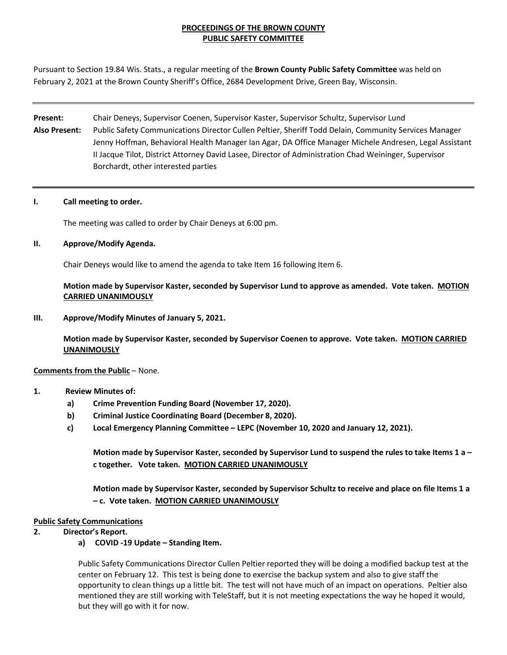# **PROCEEDINGS OF THE BROWN COUNTY PUBLIC SAFETY COMMITTEE**

Pursuant to Section 19.84 Wis. Stats., a regular meeting of the **Brown County Public Safety Committee** was held on February 2, 2021 at the Brown County Sheriff's Office, 2684 Development Drive, Green Bay, Wisconsin.

# **Present:** Chair Deneys, Supervisor Coenen, Supervisor Kaster, Supervisor Schultz, Supervisor Lund **Also Present:** Public Safety Communications Director Cullen Peltier, Sheriff Todd Delain, Community Services Manager Jenny Hoffman, Behavioral Health Manager Ian Agar, DA Office Manager Michele Andresen, Legal Assistant II Jacque Tilot, District Attorney David Lasee, Director of Administration Chad Weininger, Supervisor Borchardt, other interested parties

## **I. Call meeting to order.**

The meeting was called to order by Chair Deneys at 6:00 pm.

## **II. Approve/Modify Agenda.**

Chair Deneys would like to amend the agenda to take Item 16 following Item 6.

**Motion made by Supervisor Kaster, seconded by Supervisor Lund to approve as amended. Vote taken. MOTION CARRIED UNANIMOUSLY**

**III. Approve/Modify Minutes of January 5, 2021.**

**Motion made by Supervisor Kaster, seconded by Supervisor Coenen to approve. Vote taken. MOTION CARRIED UNANIMOUSLY**

## **Comments from the Public** – None.

## **1. Review Minutes of:**

- **a) Crime Prevention Funding Board (November 17, 2020).**
- **b) Criminal Justice Coordinating Board (December 8, 2020).**
- **c) Local Emergency Planning Committee – LEPC (November 10, 2020 and January 12, 2021).**

**Motion made by Supervisor Kaster, seconded by Supervisor Lund to suspend the rules to take Items 1 a – c together. Vote taken. MOTION CARRIED UNANIMOUSLY**

**Motion made by Supervisor Kaster, seconded by Supervisor Schultz to receive and place on file Items 1 a – c. Vote taken. MOTION CARRIED UNANIMOUSLY**

## **Public Safety Communications**

- **2. Director's Report.**
	- **a) COVID -19 Update – Standing Item.**

Public Safety Communications Director Cullen Peltier reported they will be doing a modified backup test at the center on February 12. This test is being done to exercise the backup system and also to give staff the opportunity to clean things up a little bit. The test will not have much of an impact on operations. Peltier also mentioned they are still working with TeleStaff, but it is not meeting expectations the way he hoped it would, but they will go with it for now.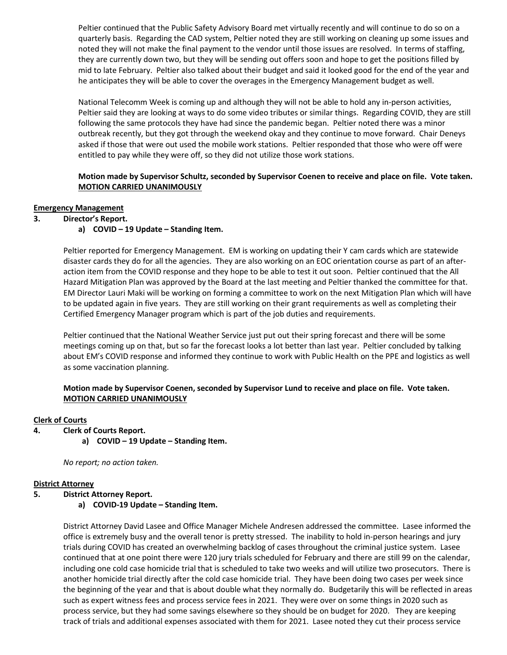Peltier continued that the Public Safety Advisory Board met virtually recently and will continue to do so on a quarterly basis. Regarding the CAD system, Peltier noted they are still working on cleaning up some issues and noted they will not make the final payment to the vendor until those issues are resolved. In terms of staffing, they are currently down two, but they will be sending out offers soon and hope to get the positions filled by mid to late February. Peltier also talked about their budget and said it looked good for the end of the year and he anticipates they will be able to cover the overages in the Emergency Management budget as well.

National Telecomm Week is coming up and although they will not be able to hold any in-person activities, Peltier said they are looking at ways to do some video tributes or similar things. Regarding COVID, they are still following the same protocols they have had since the pandemic began. Peltier noted there was a minor outbreak recently, but they got through the weekend okay and they continue to move forward. Chair Deneys asked if those that were out used the mobile work stations. Peltier responded that those who were off were entitled to pay while they were off, so they did not utilize those work stations.

# **Motion made by Supervisor Schultz, seconded by Supervisor Coenen to receive and place on file. Vote taken. MOTION CARRIED UNANIMOUSLY**

## **Emergency Management**

## **3. Director's Report.**

# **a) COVID – 19 Update – Standing Item.**

Peltier reported for Emergency Management. EM is working on updating their Y cam cards which are statewide disaster cards they do for all the agencies. They are also working on an EOC orientation course as part of an afteraction item from the COVID response and they hope to be able to test it out soon. Peltier continued that the All Hazard Mitigation Plan was approved by the Board at the last meeting and Peltier thanked the committee for that. EM Director Lauri Maki will be working on forming a committee to work on the next Mitigation Plan which will have to be updated again in five years. They are still working on their grant requirements as well as completing their Certified Emergency Manager program which is part of the job duties and requirements.

Peltier continued that the National Weather Service just put out their spring forecast and there will be some meetings coming up on that, but so far the forecast looks a lot better than last year. Peltier concluded by talking about EM's COVID response and informed they continue to work with Public Health on the PPE and logistics as well as some vaccination planning.

# **Motion made by Supervisor Coenen, seconded by Supervisor Lund to receive and place on file. Vote taken. MOTION CARRIED UNANIMOUSLY**

## **Clerk of Courts**

- **4. Clerk of Courts Report.**
	- **a) COVID – 19 Update – Standing Item.**

*No report; no action taken.*

## **District Attorney**

## **5. District Attorney Report.**

**a) COVID-19 Update – Standing Item.**

District Attorney David Lasee and Office Manager Michele Andresen addressed the committee. Lasee informed the office is extremely busy and the overall tenor is pretty stressed. The inability to hold in-person hearings and jury trials during COVID has created an overwhelming backlog of cases throughout the criminal justice system. Lasee continued that at one point there were 120 jury trials scheduled for February and there are still 99 on the calendar, including one cold case homicide trial that is scheduled to take two weeks and will utilize two prosecutors. There is another homicide trial directly after the cold case homicide trial. They have been doing two cases per week since the beginning of the year and that is about double what they normally do. Budgetarily this will be reflected in areas such as expert witness fees and process service fees in 2021. They were over on some things in 2020 such as process service, but they had some savings elsewhere so they should be on budget for 2020. They are keeping track of trials and additional expenses associated with them for 2021. Lasee noted they cut their process service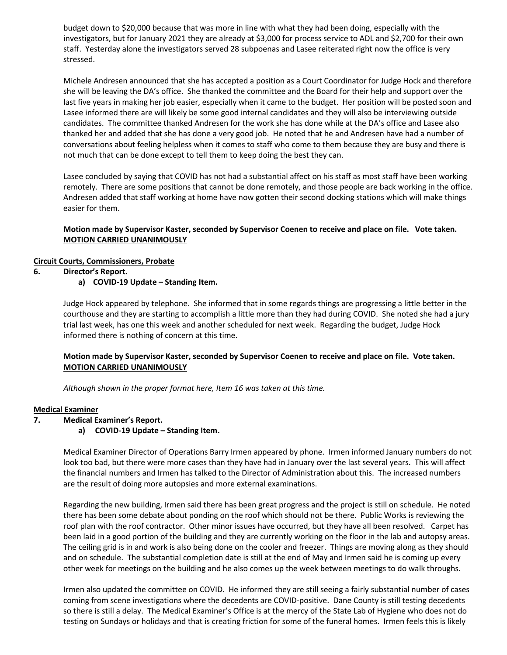budget down to \$20,000 because that was more in line with what they had been doing, especially with the investigators, but for January 2021 they are already at \$3,000 for process service to ADL and \$2,700 for their own staff. Yesterday alone the investigators served 28 subpoenas and Lasee reiterated right now the office is very stressed.

Michele Andresen announced that she has accepted a position as a Court Coordinator for Judge Hock and therefore she will be leaving the DA's office. She thanked the committee and the Board for their help and support over the last five years in making her job easier, especially when it came to the budget. Her position will be posted soon and Lasee informed there are will likely be some good internal candidates and they will also be interviewing outside candidates. The committee thanked Andresen for the work she has done while at the DA's office and Lasee also thanked her and added that she has done a very good job. He noted that he and Andresen have had a number of conversations about feeling helpless when it comes to staff who come to them because they are busy and there is not much that can be done except to tell them to keep doing the best they can.

Lasee concluded by saying that COVID has not had a substantial affect on his staff as most staff have been working remotely. There are some positions that cannot be done remotely, and those people are back working in the office. Andresen added that staff working at home have now gotten their second docking stations which will make things easier for them.

# **Motion made by Supervisor Kaster, seconded by Supervisor Coenen to receive and place on file. Vote taken. MOTION CARRIED UNANIMOUSLY**

# **Circuit Courts, Commissioners, Probate**

**6. Director's Report.**

# **a) COVID-19 Update – Standing Item.**

Judge Hock appeared by telephone. She informed that in some regards things are progressing a little better in the courthouse and they are starting to accomplish a little more than they had during COVID. She noted she had a jury trial last week, has one this week and another scheduled for next week. Regarding the budget, Judge Hock informed there is nothing of concern at this time.

# **Motion made by Supervisor Kaster, seconded by Supervisor Coenen to receive and place on file. Vote taken. MOTION CARRIED UNANIMOUSLY**

*Although shown in the proper format here, Item 16 was taken at this time.* 

## **Medical Examiner**

- **7. Medical Examiner's Report.**
	- **a) COVID-19 Update – Standing Item.**

Medical Examiner Director of Operations Barry Irmen appeared by phone. Irmen informed January numbers do not look too bad, but there were more cases than they have had in January over the last several years. This will affect the financial numbers and Irmen has talked to the Director of Administration about this. The increased numbers are the result of doing more autopsies and more external examinations.

Regarding the new building, Irmen said there has been great progress and the project is still on schedule. He noted there has been some debate about ponding on the roof which should not be there. Public Works is reviewing the roof plan with the roof contractor. Other minor issues have occurred, but they have all been resolved. Carpet has been laid in a good portion of the building and they are currently working on the floor in the lab and autopsy areas. The ceiling grid is in and work is also being done on the cooler and freezer. Things are moving along as they should and on schedule. The substantial completion date is still at the end of May and Irmen said he is coming up every other week for meetings on the building and he also comes up the week between meetings to do walk throughs.

Irmen also updated the committee on COVID. He informed they are still seeing a fairly substantial number of cases coming from scene investigations where the decedents are COVID-positive. Dane County is still testing decedents so there is still a delay. The Medical Examiner's Office is at the mercy of the State Lab of Hygiene who does not do testing on Sundays or holidays and that is creating friction for some of the funeral homes. Irmen feels this is likely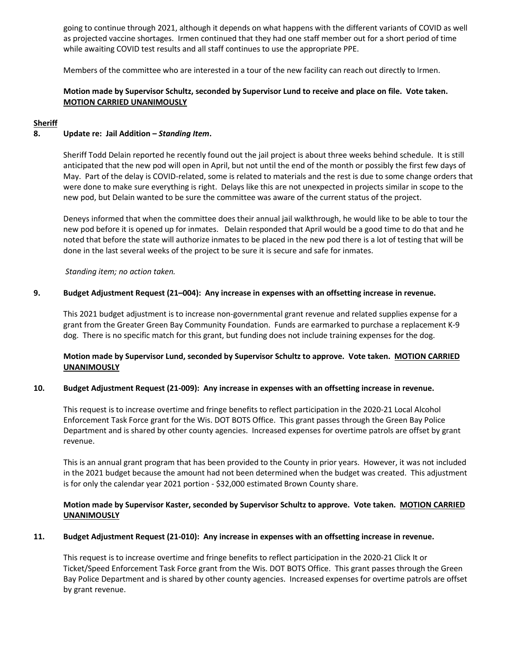going to continue through 2021, although it depends on what happens with the different variants of COVID as well as projected vaccine shortages. Irmen continued that they had one staff member out for a short period of time while awaiting COVID test results and all staff continues to use the appropriate PPE.

Members of the committee who are interested in a tour of the new facility can reach out directly to Irmen.

# **Motion made by Supervisor Schultz, seconded by Supervisor Lund to receive and place on file. Vote taken. MOTION CARRIED UNANIMOUSLY**

## **Sheriff**

## **8. Update re: Jail Addition –** *Standing Item***.**

Sheriff Todd Delain reported he recently found out the jail project is about three weeks behind schedule. It is still anticipated that the new pod will open in April, but not until the end of the month or possibly the first few days of May. Part of the delay is COVID-related, some is related to materials and the rest is due to some change orders that were done to make sure everything is right. Delays like this are not unexpected in projects similar in scope to the new pod, but Delain wanted to be sure the committee was aware of the current status of the project.

Deneys informed that when the committee does their annual jail walkthrough, he would like to be able to tour the new pod before it is opened up for inmates. Delain responded that April would be a good time to do that and he noted that before the state will authorize inmates to be placed in the new pod there is a lot of testing that will be done in the last several weeks of the project to be sure it is secure and safe for inmates.

*Standing item; no action taken.* 

## **9. Budget Adjustment Request (21–004): Any increase in expenses with an offsetting increase in revenue.**

This 2021 budget adjustment is to increase non-governmental grant revenue and related supplies expense for a grant from the Greater Green Bay Community Foundation. Funds are earmarked to purchase a replacement K-9 dog. There is no specific match for this grant, but funding does not include training expenses for the dog.

# **Motion made by Supervisor Lund, seconded by Supervisor Schultz to approve. Vote taken. MOTION CARRIED UNANIMOUSLY**

## **10. Budget Adjustment Request (21-009): Any increase in expenses with an offsetting increase in revenue.**

This request is to increase overtime and fringe benefits to reflect participation in the 2020-21 Local Alcohol Enforcement Task Force grant for the Wis. DOT BOTS Office. This grant passes through the Green Bay Police Department and is shared by other county agencies. Increased expenses for overtime patrols are offset by grant revenue.

This is an annual grant program that has been provided to the County in prior years. However, it was not included in the 2021 budget because the amount had not been determined when the budget was created. This adjustment is for only the calendar year 2021 portion - \$32,000 estimated Brown County share.

# **Motion made by Supervisor Kaster, seconded by Supervisor Schultz to approve. Vote taken. MOTION CARRIED UNANIMOUSLY**

## **11. Budget Adjustment Request (21-010): Any increase in expenses with an offsetting increase in revenue.**

This request is to increase overtime and fringe benefits to reflect participation in the 2020-21 Click It or Ticket/Speed Enforcement Task Force grant from the Wis. DOT BOTS Office. This grant passes through the Green Bay Police Department and is shared by other county agencies. Increased expenses for overtime patrols are offset by grant revenue.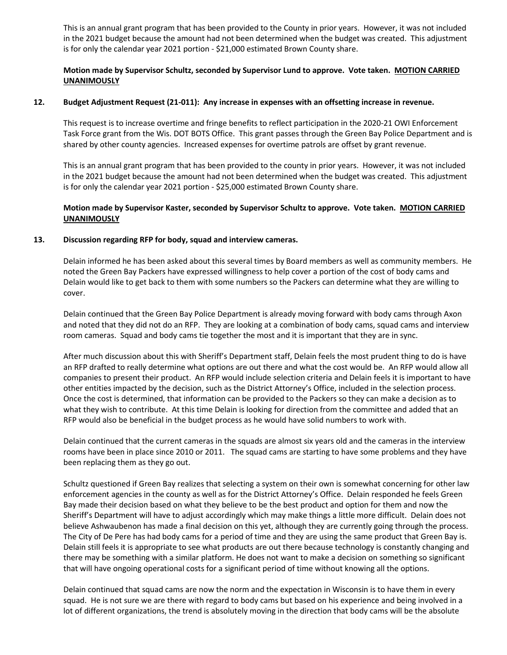This is an annual grant program that has been provided to the County in prior years. However, it was not included in the 2021 budget because the amount had not been determined when the budget was created. This adjustment is for only the calendar year 2021 portion - \$21,000 estimated Brown County share.

# **Motion made by Supervisor Schultz, seconded by Supervisor Lund to approve. Vote taken. MOTION CARRIED UNANIMOUSLY**

## **12. Budget Adjustment Request (21-011): Any increase in expenses with an offsetting increase in revenue.**

This request is to increase overtime and fringe benefits to reflect participation in the 2020-21 OWI Enforcement Task Force grant from the Wis. DOT BOTS Office. This grant passes through the Green Bay Police Department and is shared by other county agencies. Increased expenses for overtime patrols are offset by grant revenue.

This is an annual grant program that has been provided to the county in prior years. However, it was not included in the 2021 budget because the amount had not been determined when the budget was created. This adjustment is for only the calendar year 2021 portion - \$25,000 estimated Brown County share.

# **Motion made by Supervisor Kaster, seconded by Supervisor Schultz to approve. Vote taken. MOTION CARRIED UNANIMOUSLY**

## **13. Discussion regarding RFP for body, squad and interview cameras.**

Delain informed he has been asked about this several times by Board members as well as community members. He noted the Green Bay Packers have expressed willingness to help cover a portion of the cost of body cams and Delain would like to get back to them with some numbers so the Packers can determine what they are willing to cover.

Delain continued that the Green Bay Police Department is already moving forward with body cams through Axon and noted that they did not do an RFP. They are looking at a combination of body cams, squad cams and interview room cameras. Squad and body cams tie together the most and it is important that they are in sync.

After much discussion about this with Sheriff's Department staff, Delain feels the most prudent thing to do is have an RFP drafted to really determine what options are out there and what the cost would be. An RFP would allow all companies to present their product. An RFP would include selection criteria and Delain feels it is important to have other entities impacted by the decision, such as the District Attorney's Office, included in the selection process. Once the cost is determined, that information can be provided to the Packers so they can make a decision as to what they wish to contribute. At this time Delain is looking for direction from the committee and added that an RFP would also be beneficial in the budget process as he would have solid numbers to work with.

Delain continued that the current cameras in the squads are almost six years old and the cameras in the interview rooms have been in place since 2010 or 2011. The squad cams are starting to have some problems and they have been replacing them as they go out.

Schultz questioned if Green Bay realizes that selecting a system on their own is somewhat concerning for other law enforcement agencies in the county as well as for the District Attorney's Office. Delain responded he feels Green Bay made their decision based on what they believe to be the best product and option for them and now the Sheriff's Department will have to adjust accordingly which may make things a little more difficult. Delain does not believe Ashwaubenon has made a final decision on this yet, although they are currently going through the process. The City of De Pere has had body cams for a period of time and they are using the same product that Green Bay is. Delain still feels it is appropriate to see what products are out there because technology is constantly changing and there may be something with a similar platform. He does not want to make a decision on something so significant that will have ongoing operational costs for a significant period of time without knowing all the options.

Delain continued that squad cams are now the norm and the expectation in Wisconsin is to have them in every squad. He is not sure we are there with regard to body cams but based on his experience and being involved in a lot of different organizations, the trend is absolutely moving in the direction that body cams will be the absolute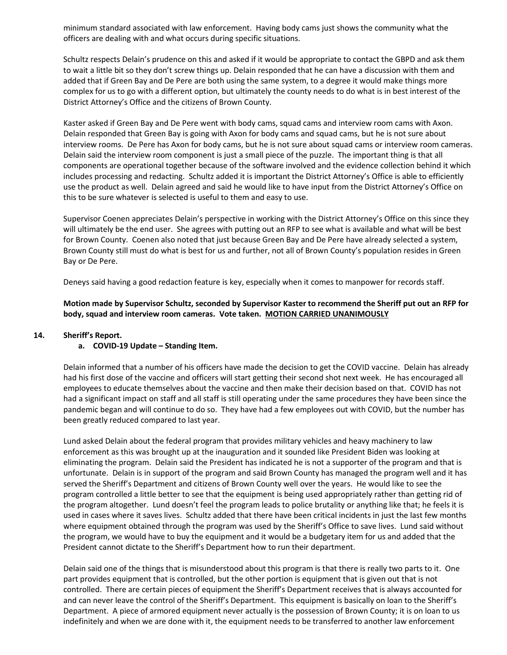minimum standard associated with law enforcement. Having body cams just shows the community what the officers are dealing with and what occurs during specific situations.

Schultz respects Delain's prudence on this and asked if it would be appropriate to contact the GBPD and ask them to wait a little bit so they don't screw things up. Delain responded that he can have a discussion with them and added that if Green Bay and De Pere are both using the same system, to a degree it would make things more complex for us to go with a different option, but ultimately the county needs to do what is in best interest of the District Attorney's Office and the citizens of Brown County.

Kaster asked if Green Bay and De Pere went with body cams, squad cams and interview room cams with Axon. Delain responded that Green Bay is going with Axon for body cams and squad cams, but he is not sure about interview rooms. De Pere has Axon for body cams, but he is not sure about squad cams or interview room cameras. Delain said the interview room component is just a small piece of the puzzle. The important thing is that all components are operational together because of the software involved and the evidence collection behind it which includes processing and redacting. Schultz added it is important the District Attorney's Office is able to efficiently use the product as well. Delain agreed and said he would like to have input from the District Attorney's Office on this to be sure whatever is selected is useful to them and easy to use.

Supervisor Coenen appreciates Delain's perspective in working with the District Attorney's Office on this since they will ultimately be the end user. She agrees with putting out an RFP to see what is available and what will be best for Brown County. Coenen also noted that just because Green Bay and De Pere have already selected a system, Brown County still must do what is best for us and further, not all of Brown County's population resides in Green Bay or De Pere.

Deneys said having a good redaction feature is key, especially when it comes to manpower for records staff.

**Motion made by Supervisor Schultz, seconded by Supervisor Kaster to recommend the Sheriff put out an RFP for body, squad and interview room cameras. Vote taken. MOTION CARRIED UNANIMOUSLY**

## **14. Sheriff's Report.**

## **a. COVID-19 Update – Standing Item.**

Delain informed that a number of his officers have made the decision to get the COVID vaccine. Delain has already had his first dose of the vaccine and officers will start getting their second shot next week. He has encouraged all employees to educate themselves about the vaccine and then make their decision based on that. COVID has not had a significant impact on staff and all staff is still operating under the same procedures they have been since the pandemic began and will continue to do so. They have had a few employees out with COVID, but the number has been greatly reduced compared to last year.

Lund asked Delain about the federal program that provides military vehicles and heavy machinery to law enforcement as this was brought up at the inauguration and it sounded like President Biden was looking at eliminating the program. Delain said the President has indicated he is not a supporter of the program and that is unfortunate. Delain is in support of the program and said Brown County has managed the program well and it has served the Sheriff's Department and citizens of Brown County well over the years. He would like to see the program controlled a little better to see that the equipment is being used appropriately rather than getting rid of the program altogether. Lund doesn't feel the program leads to police brutality or anything like that; he feels it is used in cases where it saves lives. Schultz added that there have been critical incidents in just the last few months where equipment obtained through the program was used by the Sheriff's Office to save lives. Lund said without the program, we would have to buy the equipment and it would be a budgetary item for us and added that the President cannot dictate to the Sheriff's Department how to run their department.

Delain said one of the things that is misunderstood about this program is that there is really two parts to it. One part provides equipment that is controlled, but the other portion is equipment that is given out that is not controlled. There are certain pieces of equipment the Sheriff's Department receives that is always accounted for and can never leave the control of the Sheriff's Department. This equipment is basically on loan to the Sheriff's Department. A piece of armored equipment never actually is the possession of Brown County; it is on loan to us indefinitely and when we are done with it, the equipment needs to be transferred to another law enforcement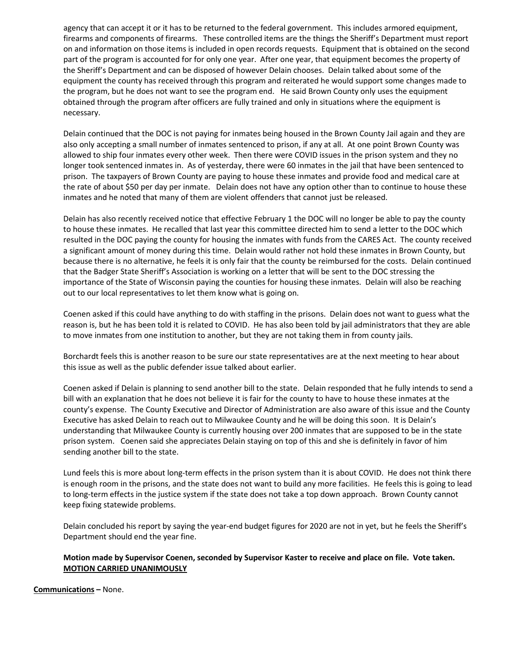agency that can accept it or it has to be returned to the federal government. This includes armored equipment, firearms and components of firearms. These controlled items are the things the Sheriff's Department must report on and information on those items is included in open records requests. Equipment that is obtained on the second part of the program is accounted for for only one year. After one year, that equipment becomes the property of the Sheriff's Department and can be disposed of however Delain chooses. Delain talked about some of the equipment the county has received through this program and reiterated he would support some changes made to the program, but he does not want to see the program end. He said Brown County only uses the equipment obtained through the program after officers are fully trained and only in situations where the equipment is necessary.

Delain continued that the DOC is not paying for inmates being housed in the Brown County Jail again and they are also only accepting a small number of inmates sentenced to prison, if any at all. At one point Brown County was allowed to ship four inmates every other week. Then there were COVID issues in the prison system and they no longer took sentenced inmates in. As of yesterday, there were 60 inmates in the jail that have been sentenced to prison. The taxpayers of Brown County are paying to house these inmates and provide food and medical care at the rate of about \$50 per day per inmate. Delain does not have any option other than to continue to house these inmates and he noted that many of them are violent offenders that cannot just be released.

Delain has also recently received notice that effective February 1 the DOC will no longer be able to pay the county to house these inmates. He recalled that last year this committee directed him to send a letter to the DOC which resulted in the DOC paying the county for housing the inmates with funds from the CARES Act. The county received a significant amount of money during this time. Delain would rather not hold these inmates in Brown County, but because there is no alternative, he feels it is only fair that the county be reimbursed for the costs. Delain continued that the Badger State Sheriff's Association is working on a letter that will be sent to the DOC stressing the importance of the State of Wisconsin paying the counties for housing these inmates. Delain will also be reaching out to our local representatives to let them know what is going on.

Coenen asked if this could have anything to do with staffing in the prisons. Delain does not want to guess what the reason is, but he has been told it is related to COVID. He has also been told by jail administrators that they are able to move inmates from one institution to another, but they are not taking them in from county jails.

Borchardt feels this is another reason to be sure our state representatives are at the next meeting to hear about this issue as well as the public defender issue talked about earlier.

Coenen asked if Delain is planning to send another bill to the state. Delain responded that he fully intends to send a bill with an explanation that he does not believe it is fair for the county to have to house these inmates at the county's expense. The County Executive and Director of Administration are also aware of this issue and the County Executive has asked Delain to reach out to Milwaukee County and he will be doing this soon. It is Delain's understanding that Milwaukee County is currently housing over 200 inmates that are supposed to be in the state prison system. Coenen said she appreciates Delain staying on top of this and she is definitely in favor of him sending another bill to the state.

Lund feels this is more about long-term effects in the prison system than it is about COVID. He does not think there is enough room in the prisons, and the state does not want to build any more facilities. He feels this is going to lead to long-term effects in the justice system if the state does not take a top down approach. Brown County cannot keep fixing statewide problems.

Delain concluded his report by saying the year-end budget figures for 2020 are not in yet, but he feels the Sheriff's Department should end the year fine.

## **Motion made by Supervisor Coenen, seconded by Supervisor Kaster to receive and place on file. Vote taken. MOTION CARRIED UNANIMOUSLY**

**Communications –** None.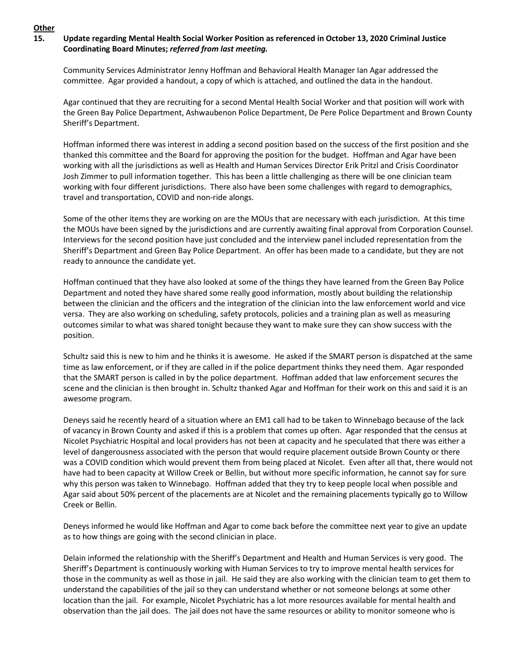# **15. Update regarding Mental Health Social Worker Position as referenced in October 13, 2020 Criminal Justice Coordinating Board Minutes;** *referred from last meeting.*

Community Services Administrator Jenny Hoffman and Behavioral Health Manager Ian Agar addressed the committee. Agar provided a handout, a copy of which is attached, and outlined the data in the handout.

Agar continued that they are recruiting for a second Mental Health Social Worker and that position will work with the Green Bay Police Department, Ashwaubenon Police Department, De Pere Police Department and Brown County Sheriff's Department.

Hoffman informed there was interest in adding a second position based on the success of the first position and she thanked this committee and the Board for approving the position for the budget. Hoffman and Agar have been working with all the jurisdictions as well as Health and Human Services Director Erik Pritzl and Crisis Coordinator Josh Zimmer to pull information together. This has been a little challenging as there will be one clinician team working with four different jurisdictions. There also have been some challenges with regard to demographics, travel and transportation, COVID and non-ride alongs.

Some of the other items they are working on are the MOUs that are necessary with each jurisdiction. At this time the MOUs have been signed by the jurisdictions and are currently awaiting final approval from Corporation Counsel. Interviews for the second position have just concluded and the interview panel included representation from the Sheriff's Department and Green Bay Police Department. An offer has been made to a candidate, but they are not ready to announce the candidate yet.

Hoffman continued that they have also looked at some of the things they have learned from the Green Bay Police Department and noted they have shared some really good information, mostly about building the relationship between the clinician and the officers and the integration of the clinician into the law enforcement world and vice versa. They are also working on scheduling, safety protocols, policies and a training plan as well as measuring outcomes similar to what was shared tonight because they want to make sure they can show success with the position.

Schultz said this is new to him and he thinks it is awesome. He asked if the SMART person is dispatched at the same time as law enforcement, or if they are called in if the police department thinks they need them. Agar responded that the SMART person is called in by the police department. Hoffman added that law enforcement secures the scene and the clinician is then brought in. Schultz thanked Agar and Hoffman for their work on this and said it is an awesome program.

Deneys said he recently heard of a situation where an EM1 call had to be taken to Winnebago because of the lack of vacancy in Brown County and asked if this is a problem that comes up often. Agar responded that the census at Nicolet Psychiatric Hospital and local providers has not been at capacity and he speculated that there was either a level of dangerousness associated with the person that would require placement outside Brown County or there was a COVID condition which would prevent them from being placed at Nicolet. Even after all that, there would not have had to been capacity at Willow Creek or Bellin, but without more specific information, he cannot say for sure why this person was taken to Winnebago. Hoffman added that they try to keep people local when possible and Agar said about 50% percent of the placements are at Nicolet and the remaining placements typically go to Willow Creek or Bellin.

Deneys informed he would like Hoffman and Agar to come back before the committee next year to give an update as to how things are going with the second clinician in place.

Delain informed the relationship with the Sheriff's Department and Health and Human Services is very good. The Sheriff's Department is continuously working with Human Services to try to improve mental health services for those in the community as well as those in jail. He said they are also working with the clinician team to get them to understand the capabilities of the jail so they can understand whether or not someone belongs at some other location than the jail. For example, Nicolet Psychiatric has a lot more resources available for mental health and observation than the jail does. The jail does not have the same resources or ability to monitor someone who is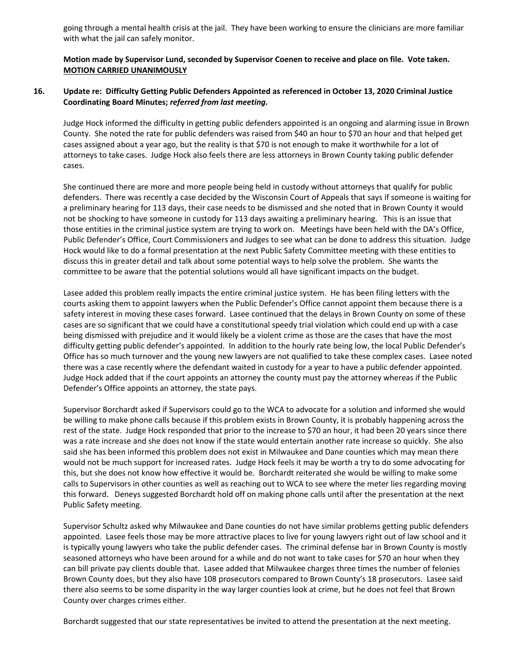going through a mental health crisis at the jail. They have been working to ensure the clinicians are more familiar with what the jail can safely monitor.

# **Motion made by Supervisor Lund, seconded by Supervisor Coenen to receive and place on file. Vote taken. MOTION CARRIED UNANIMOUSLY**

# **16. Update re: Difficulty Getting Public Defenders Appointed as referenced in October 13, 2020 Criminal Justice Coordinating Board Minutes;** *referred from last meeting***.**

Judge Hock informed the difficulty in getting public defenders appointed is an ongoing and alarming issue in Brown County. She noted the rate for public defenders was raised from \$40 an hour to \$70 an hour and that helped get cases assigned about a year ago, but the reality is that \$70 is not enough to make it worthwhile for a lot of attorneys to take cases. Judge Hock also feels there are less attorneys in Brown County taking public defender cases.

She continued there are more and more people being held in custody without attorneys that qualify for public defenders. There was recently a case decided by the Wisconsin Court of Appeals that says if someone is waiting for a preliminary hearing for 113 days, their case needs to be dismissed and she noted that in Brown County it would not be shocking to have someone in custody for 113 days awaiting a preliminary hearing. This is an issue that those entities in the criminal justice system are trying to work on. Meetings have been held with the DA's Office, Public Defender's Office, Court Commissioners and Judges to see what can be done to address this situation. Judge Hock would like to do a formal presentation at the next Public Safety Committee meeting with these entities to discuss this in greater detail and talk about some potential ways to help solve the problem. She wants the committee to be aware that the potential solutions would all have significant impacts on the budget.

Lasee added this problem really impacts the entire criminal justice system. He has been filing letters with the courts asking them to appoint lawyers when the Public Defender's Office cannot appoint them because there is a safety interest in moving these cases forward. Lasee continued that the delays in Brown County on some of these cases are so significant that we could have a constitutional speedy trial violation which could end up with a case being dismissed with prejudice and it would likely be a violent crime as those are the cases that have the most difficulty getting public defender's appointed. In addition to the hourly rate being low, the local Public Defender's Office has so much turnover and the young new lawyers are not qualified to take these complex cases. Lasee noted there was a case recently where the defendant waited in custody for a year to have a public defender appointed. Judge Hock added that if the court appoints an attorney the county must pay the attorney whereas if the Public Defender's Office appoints an attorney, the state pays.

Supervisor Borchardt asked if Supervisors could go to the WCA to advocate for a solution and informed she would be willing to make phone calls because if this problem exists in Brown County, it is probably happening across the rest of the state. Judge Hock responded that prior to the increase to \$70 an hour, it had been 20 years since there was a rate increase and she does not know if the state would entertain another rate increase so quickly. She also said she has been informed this problem does not exist in Milwaukee and Dane counties which may mean there would not be much support for increased rates. Judge Hock feels it may be worth a try to do some advocating for this, but she does not know how effective it would be. Borchardt reiterated she would be willing to make some calls to Supervisors in other counties as well as reaching out to WCA to see where the meter lies regarding moving this forward. Deneys suggested Borchardt hold off on making phone calls until after the presentation at the next Public Safety meeting.

Supervisor Schultz asked why Milwaukee and Dane counties do not have similar problems getting public defenders appointed. Lasee feels those may be more attractive places to live for young lawyers right out of law school and it is typically young lawyers who take the public defender cases. The criminal defense bar in Brown County is mostly seasoned attorneys who have been around for a while and do not want to take cases for \$70 an hour when they can bill private pay clients double that. Lasee added that Milwaukee charges three times the number of felonies Brown County does, but they also have 108 prosecutors compared to Brown County's 18 prosecutors. Lasee said there also seems to be some disparity in the way larger counties look at crime, but he does not feel that Brown County over charges crimes either.

Borchardt suggested that our state representatives be invited to attend the presentation at the next meeting.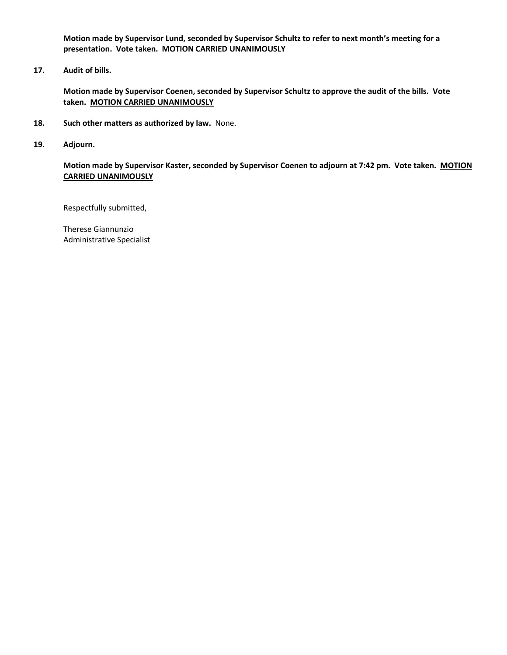**Motion made by Supervisor Lund, seconded by Supervisor Schultz to refer to next month's meeting for a presentation. Vote taken. MOTION CARRIED UNANIMOUSLY**

**17. Audit of bills.**

**Motion made by Supervisor Coenen, seconded by Supervisor Schultz to approve the audit of the bills. Vote taken. MOTION CARRIED UNANIMOUSLY**

- **18. Such other matters as authorized by law.** None.
- **19. Adjourn.**

**Motion made by Supervisor Kaster, seconded by Supervisor Coenen to adjourn at 7:42 pm. Vote taken. MOTION CARRIED UNANIMOUSLY**

Respectfully submitted,

Therese Giannunzio Administrative Specialist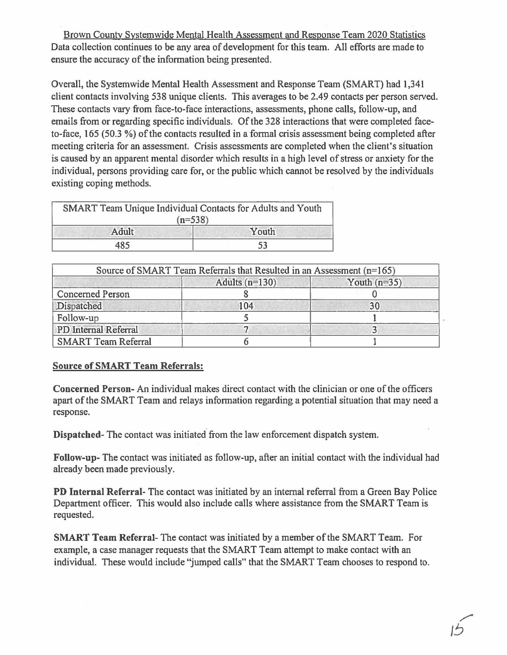Brown County Systemwide Mental Health Assessment and Response Team 2020 Statistics Data collection continues to be any area of development for this team. All efforts are made to ensure the accuracy of the information being presented.

Overall, the Systemwide Mental Health Assessment and Response Team (SMART) had 1,341 client contacts involving 538 unique clients. This averages to be 2.49 contacts per person served. These contacts vary from face-to-face interactions, assessments, phone calls, follow-up, and emails from or regarding specific individuals. Of the 328 interactions that were completed faceto-face, 165 (50.3 %} of the contacts resulted in a formal crisis assessment being completed after meeting criteria for an assessment. Crisis assessments are completed when the client's situation is caused by an apparent mental disorder which results in a high level of stress or anxiety for the individual, persons providing care for, or the public which cannot be resolved by the individuals existing coping methods.

| SMART Team Unique Individual Contacts for Adults and Youth |       |
|------------------------------------------------------------|-------|
| $(n=538)$                                                  |       |
|                                                            |       |
| Adult                                                      | Youth |
| 485                                                        |       |

| Source of SMART Team Referrals that Resulted in an Assessment $(n=165)$ |                  |                |  |  |
|-------------------------------------------------------------------------|------------------|----------------|--|--|
|                                                                         | Adults $(n=130)$ | Youth $(n=35)$ |  |  |
| <b>Concerned Person</b>                                                 |                  |                |  |  |
| Dispatched                                                              | 104              | 30             |  |  |
| Follow-up                                                               |                  |                |  |  |
| PD Internal Referral                                                    |                  |                |  |  |
| <b>SMART Team Referral</b>                                              |                  |                |  |  |

# **Source of SMART Team Referrals:**

**Concerned Person-** An individual makes direct contact with the clinician or one of the officers apart of the SMART Team and relays information regarding a potential situation that may need a response.

**Dispatched-** The contact was initiated from the law enforcement dispatch system.

**Follow-up-The** contact was initiated as follow-up, after an initial contact with the individual had already been made previously.

**PD Internal Referral-** The contact was initiated by an internal referral from a Green Bay Police Department officer. This would also include calls where assistance from the SMART Team is requested.

**SMART Team Referral-The** contact was initiated by a member of the SMART Team. For example, a case manager requests that the SMART Team attempt to make contact with an individual. These would include "jumped calls" that the SMART Team chooses to respond to.